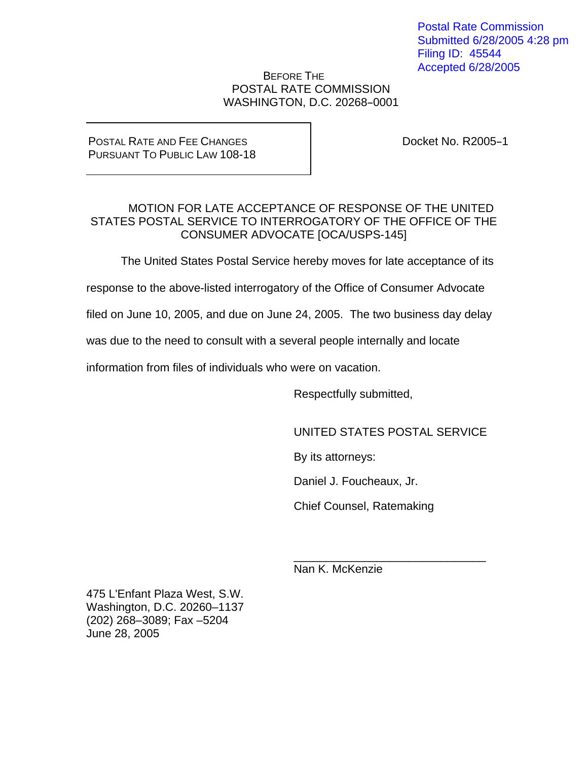Postal Rate Commission Submitted 6/28/2005 4:28 pm Filing ID: 45544 Accepted 6/28/2005

## BEFORE THE POSTAL RATE COMMISSION WASHINGTON, D.C. 20268-0001

## POSTAL RATE AND FEE CHANGES PURSUANT TO PUBLIC LAW 108-18

Docket No. R2005-1

## MOTION FOR LATE ACCEPTANCE OF RESPONSE OF THE UNITED STATES POSTAL SERVICE TO INTERROGATORY OF THE OFFICE OF THE CONSUMER ADVOCATE [OCA/USPS-145]

The United States Postal Service hereby moves for late acceptance of its

response to the above-listed interrogatory of the Office of Consumer Advocate

filed on June 10, 2005, and due on June 24, 2005. The two business day delay

 $\overline{\phantom{a}}$  , and the contract of the contract of the contract of the contract of the contract of the contract of the contract of the contract of the contract of the contract of the contract of the contract of the contrac

was due to the need to consult with a several people internally and locate

information from files of individuals who were on vacation.

Respectfully submitted,

UNITED STATES POSTAL SERVICE

By its attorneys:

Daniel J. Foucheaux, Jr.

Chief Counsel, Ratemaking

Nan K. McKenzie

475 L'Enfant Plaza West, S.W. Washington, D.C. 20260–1137 (202) 268–3089; Fax –5204 June 28, 2005